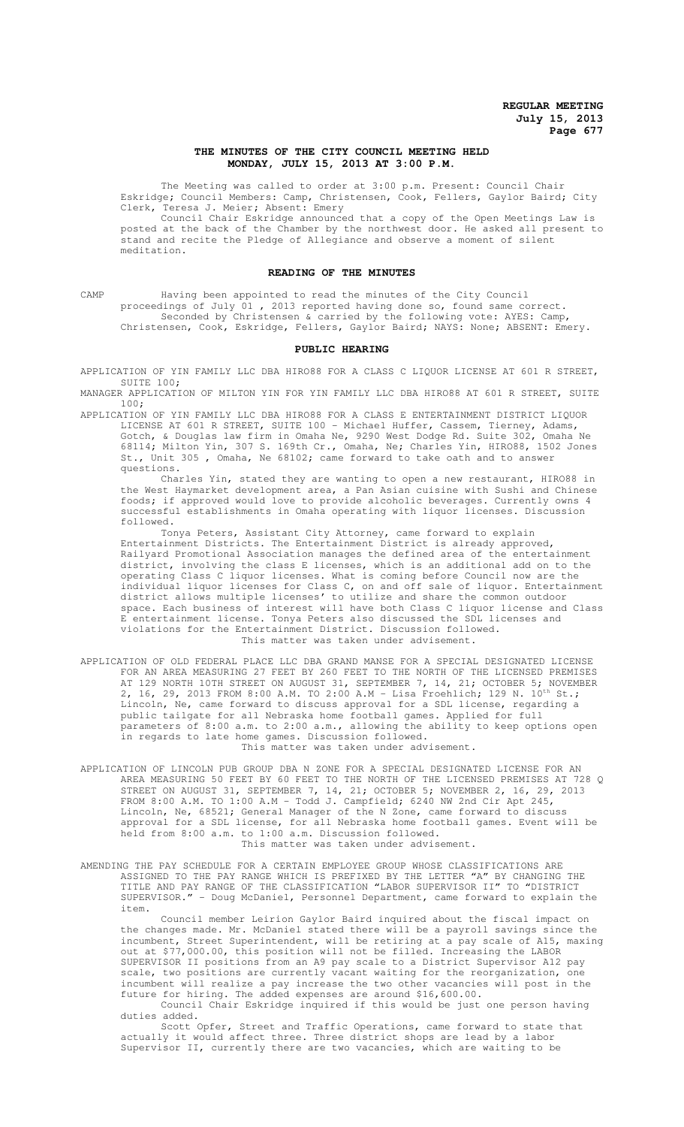## **THE MINUTES OF THE CITY COUNCIL MEETING HELD MONDAY, JULY 15, 2013 AT 3:00 P.M.**

The Meeting was called to order at 3:00 p.m. Present: Council Chair Eskridge; Council Members: Camp, Christensen, Cook, Fellers, Gaylor Baird; City Clerk, Teresa J. Meier; Absent: Emery

Council Chair Eskridge announced that a copy of the Open Meetings Law is posted at the back of the Chamber by the northwest door. He asked all present to stand and recite the Pledge of Allegiance and observe a moment of silent meditation.

#### **READING OF THE MINUTES**

CAMP Having been appointed to read the minutes of the City Council proceedings of July 01, 2013 reported having done so, found same correct. Seconded by Christensen & carried by the following vote: AYES: Camp, Christensen, Cook, Eskridge, Fellers, Gaylor Baird; NAYS: None; ABSENT: Emery.

#### **PUBLIC HEARING**

APPLICATION OF YIN FAMILY LLC DBA HIRO88 FOR A CLASS C LIQUOR LICENSE AT 601 R STREET, SUITE 100;

MANAGER APPLICATION OF MILTON YIN FOR YIN FAMILY LLC DBA HIRO88 AT 601 R STREET, SUITE 100;

APPLICATION OF YIN FAMILY LLC DBA HIRO88 FOR A CLASS E ENTERTAINMENT DISTRICT LIQUOR LICENSE AT 601 R STREET, SUITE 100 - Michael Huffer, Cassem, Tierney, Adams, Gotch, & Douglas law firm in Omaha Ne, 9290 West Dodge Rd. Suite 302, Omaha Ne 68114; Milton Yin, 307 S. 169th Cr., Omaha, Ne; Charles Yin, HIRO88, 1502 Jones St., Unit 305 , Omaha, Ne 68102; came forward to take oath and to answer questions.

Charles Yin, stated they are wanting to open a new restaurant, HIRO88 in the West Haymarket development area, a Pan Asian cuisine with Sushi and Chinese foods; if approved would love to provide alcoholic beverages. Currently owns 4 successful establishments in Omaha operating with liquor licenses. Discussion followed.

Tonya Peters, Assistant City Attorney, came forward to explain Entertainment Districts. The Entertainment District is already approved, Railyard Promotional Association manages the defined area of the entertainment district, involving the class E licenses, which is an additional add on to the operating Class C liquor licenses. What is coming before Council now are the individual liquor licenses for Class C, on and off sale of liquor. Entertainment district allows multiple licenses' to utilize and share the common outdoor space. Each business of interest will have both Class C liquor license and Class E entertainment license. Tonya Peters also discussed the SDL licenses and violations for the Entertainment District. Discussion followed. This matter was taken under advisement.

- APPLICATION OF OLD FEDERAL PLACE LLC DBA GRAND MANSE FOR A SPECIAL DESIGNATED LICENSE FOR AN AREA MEASURING 27 FEET BY 260 FEET TO THE NORTH OF THE LICENSED PREMISES AT 129 NORTH 10TH STREET ON AUGUST 31, SEPTEMBER 7, 14, 21; OCTOBER 5; NOVEMBER 2, 16, 29, 2013 FROM 8:00 A.M. TO 2:00 A.M - Lisa Froehlich; 129 N. 10th St.; Lincoln, Ne, came forward to discuss approval for a SDL license, regarding a public tailgate for all Nebraska home football games. Applied for full parameters of 8:00 a.m. to 2:00 a.m., allowing the ability to keep options open in regards to late home games. Discussion followed. This matter was taken under advisement.
- APPLICATION OF LINCOLN PUB GROUP DBA N ZONE FOR A SPECIAL DESIGNATED LICENSE FOR AN AREA MEASURING 50 FEET BY 60 FEET TO THE NORTH OF THE LICENSED PREMISES AT 728 Q STREET ON AUGUST 31, SEPTEMBER 7, 14, 21; OCTOBER 5; NOVEMBER 2, 16, 29, 2013 FROM 8:00 A.M. TO 1:00 A.M - Todd J. Campfield; 6240 NW 2nd Cir Apt 245, Lincoln, Ne, 68521; General Manager of the N Zone, came forward to discuss approval for a SDL license, for all Nebraska home football games. Event will be held from 8:00 a.m. to 1:00 a.m. Discussion followed. This matter was taken under advisement.
- AMENDING THE PAY SCHEDULE FOR A CERTAIN EMPLOYEE GROUP WHOSE CLASSIFICATIONS ARE ASSIGNED TO THE PAY RANGE WHICH IS PREFIXED BY THE LETTER "A" BY CHANGING THE TITLE AND PAY RANGE OF THE CLASSIFICATION "LABOR SUPERVISOR II" TO "DISTRICT SUPERVISOR." - Doug McDaniel, Personnel Department, came forward to explain the item.

Council member Leirion Gaylor Baird inquired about the fiscal impact on the changes made. Mr. McDaniel stated there will be a payroll savings since the incumbent, Street Superintendent, will be retiring at a pay scale of A15, maxing out at \$77,000.00, this position will not be filled. Increasing the LABOR SUPERVISOR II positions from an A9 pay scale to a District Supervisor A12 pay scale, two positions are currently vacant waiting for the reorganization, one incumbent will realize a pay increase the two other vacancies will post in the future for hiring. The added expenses are around \$16,600.00.

Council Chair Eskridge inquired if this would be just one person having duties added.

Scott Opfer, Street and Traffic Operations, came forward to state that actually it would affect three. Three district shops are lead by a labor Supervisor II, currently there are two vacancies, which are waiting to be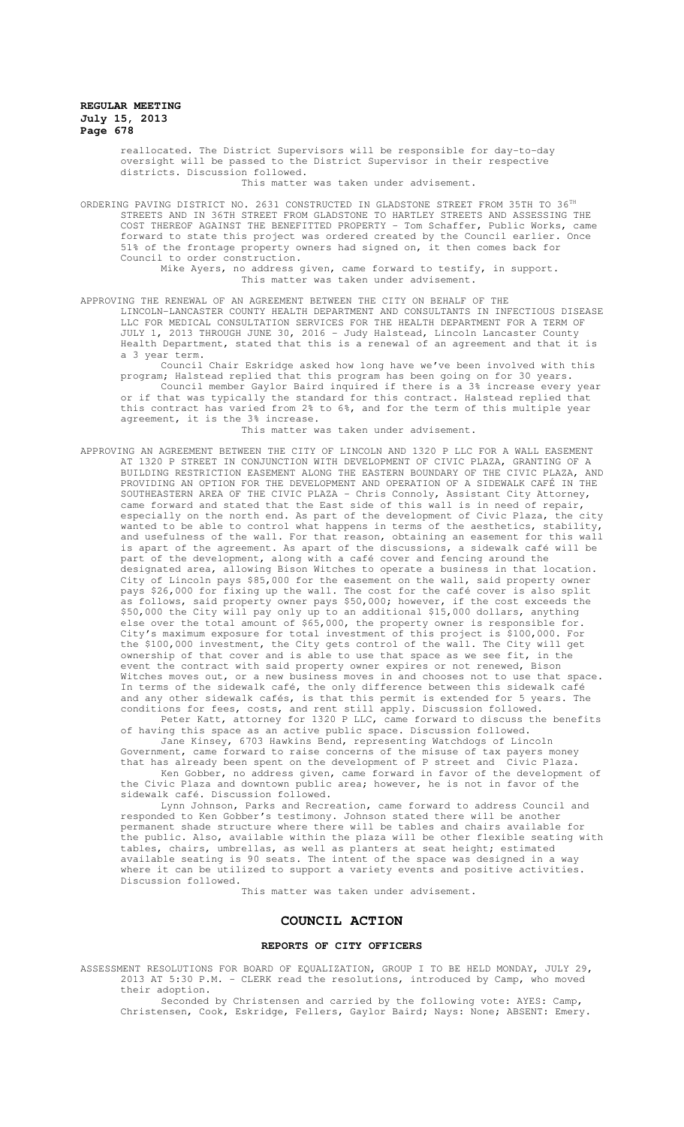reallocated. The District Supervisors will be responsible for day-to-day oversight will be passed to the District Supervisor in their respective districts. Discussion followed.

This matter was taken under advisement.

ORDERING PAVING DISTRICT NO. 2631 CONSTRUCTED IN GLADSTONE STREET FROM 35TH TO 36TH STREETS AND IN 36TH STREET FROM GLADSTONE TO HARTLEY STREETS AND ASSESSING THE COST THEREOF AGAINST THE BENEFITTED PROPERTY - Tom Schaffer, Public Works, came forward to state this project was ordered created by the Council earlier. Once 51% of the frontage property owners had signed on, it then comes back for Council to order construction.

Mike Ayers, no address given, came forward to testify, in support. This matter was taken under advisement.

APPROVING THE RENEWAL OF AN AGREEMENT BETWEEN THE CITY ON BEHALF OF THE LINCOLN-LANCASTER COUNTY HEALTH DEPARTMENT AND CONSULTANTS IN INFECTIOUS DISEASE LLC FOR MEDICAL CONSULTATION SERVICES FOR THE HEALTH DEPARTMENT FOR A TERM OF JULY 1, 2013 THROUGH JUNE 30, 2016 - Judy Halstead, Lincoln Lancaster County Health Department, stated that this is a renewal of an agreement and that it is a 3 year term.

Council Chair Eskridge asked how long have we've been involved with this program; Halstead replied that this program has been going on for 30 years. Council member Gaylor Baird inquired if there is a 3% increase every year or if that was typically the standard for this contract. Halstead replied that this contract has varied from 2% to 6%, and for the term of this multiple year agreement, it is the 3% increase.

This matter was taken under advisement.

APPROVING AN AGREEMENT BETWEEN THE CITY OF LINCOLN AND 1320 P LLC FOR A WALL EASEMENT AT 1320 P STREET IN CONJUNCTION WITH DEVELOPMENT OF CIVIC PLAZA, GRANTING OF A BUILDING RESTRICTION EASEMENT ALONG THE EASTERN BOUNDARY OF THE CIVIC PLAZA, AND PROVIDING AN OPTION FOR THE DEVELOPMENT AND OPERATION OF A SIDEWALK CAFÉ IN THE SOUTHEASTERN AREA OF THE CIVIC PLAZA - Chris Connoly, Assistant City Attorney, came forward and stated that the East side of this wall is in need of repair, especially on the north end. As part of the development of Civic Plaza, the city wanted to be able to control what happens in terms of the aesthetics, stability, and usefulness of the wall. For that reason, obtaining an easement for this wall is apart of the agreement. As apart of the discussions, a sidewalk café will be part of the development, along with a café cover and fencing around the designated area, allowing Bison Witches to operate a business in that location. City of Lincoln pays \$85,000 for the easement on the wall, said property owner pays \$26,000 for fixing up the wall. The cost for the café cover is also split as follows, said property owner pays \$50,000; however, if the cost exceeds the \$50,000 the City will pay only up to an additional \$15,000 dollars, anything else over the total amount of \$65,000, the property owner is responsible for. City's maximum exposure for total investment of this project is \$100,000. For the \$100,000 investment, the City gets control of the wall. The City will get ownership of that cover and is able to use that space as we see fit, in the event the contract with said property owner expires or not renewed, Bison Witches moves out, or a new business moves in and chooses not to use that space. In terms of the sidewalk café, the only difference between this sidewalk café and any other sidewalk cafés, is that this permit is extended for 5 years. The conditions for fees, costs, and rent still apply. Discussion followed.

Peter Katt, attorney for 1320 P LLC, came forward to discuss the benefits of having this space as an active public space. Discussion followed.

Jane Kinsey, 6703 Hawkins Bend, representing Watchdogs of Lincoln Government, came forward to raise concerns of the misuse of tax payers money that has already been spent on the development of P street and Civic Plaza.

Ken Gobber, no address given, came forward in favor of the development of the Civic Plaza and downtown public area; however, he is not in favor of the sidewalk café. Discussion followed.

Lynn Johnson, Parks and Recreation, came forward to address Council and responded to Ken Gobber's testimony. Johnson stated there will be another permanent shade structure where there will be tables and chairs available for the public. Also, available within the plaza will be other flexible seating with tables, chairs, umbrellas, as well as planters at seat height; estimated available seating is 90 seats. The intent of the space was designed in a way where it can be utilized to support a variety events and positive activities. Discussion followed.

This matter was taken under advisement.

## **COUNCIL ACTION**

#### **REPORTS OF CITY OFFICERS**

ASSESSMENT RESOLUTIONS FOR BOARD OF EQUALIZATION, GROUP I TO BE HELD MONDAY, JULY 29, 2013 AT 5:30 P.M. - CLERK read the resolutions, introduced by Camp, who moved their adoption.

Seconded by Christensen and carried by the following vote: AYES: Camp, Christensen, Cook, Eskridge, Fellers, Gaylor Baird; Nays: None; ABSENT: Emery.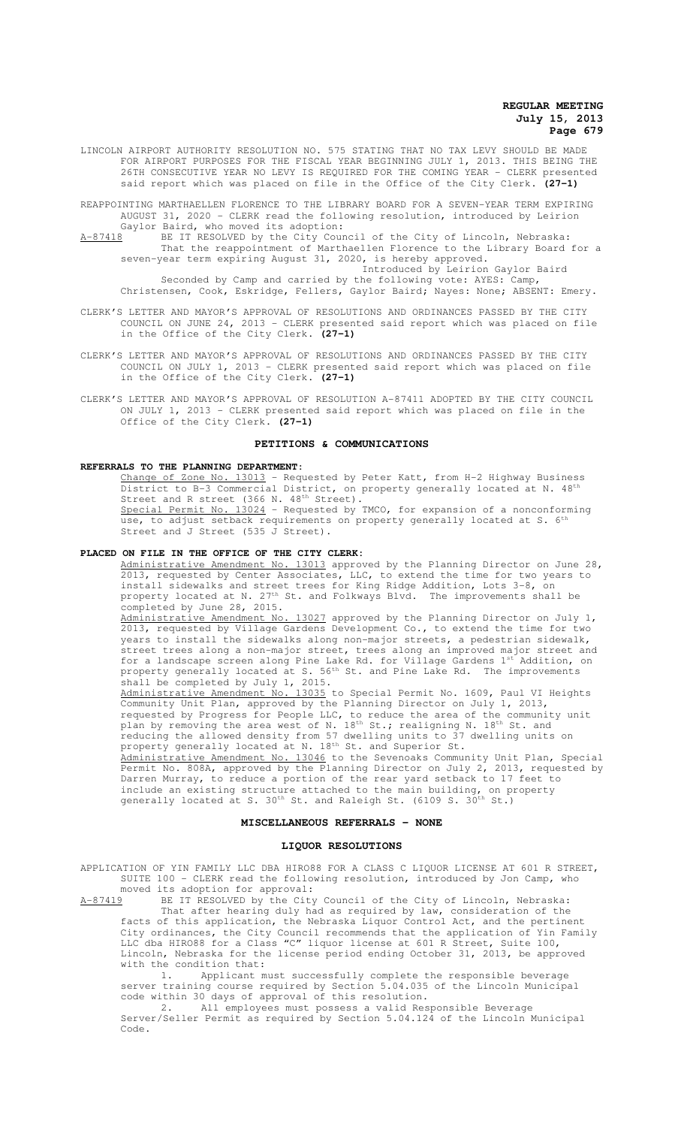LINCOLN AIRPORT AUTHORITY RESOLUTION NO. 575 STATING THAT NO TAX LEVY SHOULD BE MADE FOR AIRPORT PURPOSES FOR THE FISCAL YEAR BEGINNING JULY 1, 2013. THIS BEING THE 26TH CONSECUTIVE YEAR NO LEVY IS REQUIRED FOR THE COMING YEAR - CLERK presented said report which was placed on file in the Office of the City Clerk. **(27-1)**

REAPPOINTING MARTHAELLEN FLORENCE TO THE LIBRARY BOARD FOR A SEVEN-YEAR TERM EXPIRING AUGUST 31, 2020 - CLERK read the following resolution, introduced by Leirion Gaylor Baird, who moved its adoption:<br>A-87418 BE IT RESOLVED by the City Cour

A-87418 BE IT RESOLVED by the City Council of the City of Lincoln, Nebraska: That the reappointment of Marthaellen Florence to the Library Board for a seven-year term expiring August 31, 2020, is hereby approved. Introduced by Leirion Gaylor Baird

Seconded by Camp and carried by the following vote: AYES: Camp, Christensen, Cook, Eskridge, Fellers, Gaylor Baird; Nayes: None; ABSENT: Emery.

- CLERK'S LETTER AND MAYOR'S APPROVAL OF RESOLUTIONS AND ORDINANCES PASSED BY THE CITY COUNCIL ON JUNE 24, 2013 - CLERK presented said report which was placed on file in the Office of the City Clerk. **(27-1)**
- CLERK'S LETTER AND MAYOR'S APPROVAL OF RESOLUTIONS AND ORDINANCES PASSED BY THE CITY COUNCIL ON JULY 1, 2013 - CLERK presented said report which was placed on file in the Office of the City Clerk. **(27-1)**
- CLERK'S LETTER AND MAYOR'S APPROVAL OF RESOLUTION A-87411 ADOPTED BY THE CITY COUNCIL ON JULY 1, 2013 - CLERK presented said report which was placed on file in the Office of the City Clerk. **(27-1)**

#### **PETITIONS & COMMUNICATIONS**

#### **REFERRALS TO THE PLANNING DEPARTMENT:**

Change of Zone No.  $13013$  - Requested by Peter Katt, from H-2 Highway Business<br>District to B-3 Commercial District, on property generally located at N.  $48<sup>th</sup>$ B-3 Commercial District, on property generally located at N. 48th Street and R street (366 N. 48<sup>th</sup> Street).<br><u>Special Permit No. 13024</u> - Requested by  $13024$  - Requested by TMCO, for expansion of a nonconforming use, to adjust setback requirements on property generally located at S.  $6<sup>t</sup>$ Street and J Street (535 J Street).

#### **PLACED ON FILE IN THE OFFICE OF THE CITY CLERK:**

Administrative Amendment No. 13013 approved by the Planning Director on June 28, 2013, requested by Center Associates, LLC, to extend the time for two years to install sidewalks and street trees for King Ridge Addition, Lots 3-8, on property located at N. 27<sup>th</sup> St. and Folkways Blvd. The improvements shall be completed by June 28, 2015. Administrative Amendment No. 13027 approved by the Planning Director on July 1, 2013, requested by Village Gardens Development Co., to extend the time for two years to install the sidewalks along non-major streets, a pedestrian sidewalk, street trees along a non-major street, trees along an improved major street and

for a landscape screen along Pine Lake Rd. for Village Gardens 1st Addition, on property generally located at S.  $56<sup>th</sup>$  St. and Pine Lake Rd. The improvements shall be completed by July 1, 2015.

Administrative Amendment No. 13035 to Special Permit No. 1609, Paul VI Heights Community Unit Plan, approved by the Planning Director on July 1, 2013, requested by Progress for People LLC, to reduce the area of the community unit plan by removing the area west of N. 18<sup>th</sup> St.; realigning N. 18<sup>th</sup> St. and reducing the allowed density from 57 dwelling units to 37 dwelling units on property generally located at N. 18<sup>th</sup> St. and Superior St.

Administrative Amendment No. 13046 to the Sevenoaks Community Unit Plan, Special Permit No. 808A, approved by the Planning Director on July 2, 2013, requested by Darren Murray, to reduce a portion of the rear yard setback to 17 feet to include an existing structure attached to the main building, on property generally located at S.  $30<sup>th</sup>$  St. and Raleigh St. (6109 S.  $30<sup>th</sup>$  St.)

## **MISCELLANEOUS REFERRALS - NONE**

#### **LIQUOR RESOLUTIONS**

APPLICATION OF YIN FAMILY LLC DBA HIRO88 FOR A CLASS C LIQUOR LICENSE AT 601 R STREET, SUITE 100 - CLERK read the following resolution, introduced by Jon Camp, who moved its adoption for approval:

A-87419 BE IT RESOLVED by the City Council of the City of Lincoln, Nebraska: That after hearing duly had as required by law, consideration of the facts of this application, the Nebraska Liquor Control Act, and the pertinent City ordinances, the City Council recommends that the application of Yin Family LLC dba HIRO88 for a Class "C" liquor license at 601 R Street, Suite 100, Lincoln, Nebraska for the license period ending October 31, 2013, be approved with the condition that:

1. Applicant must successfully complete the responsible beverage server training course required by Section 5.04.035 of the Lincoln Municipal code within 30 days of approval of this resolution.

2. All employees must possess a valid Responsible Beverage Server/Seller Permit as required by Section 5.04.124 of the Lincoln Municipal Code.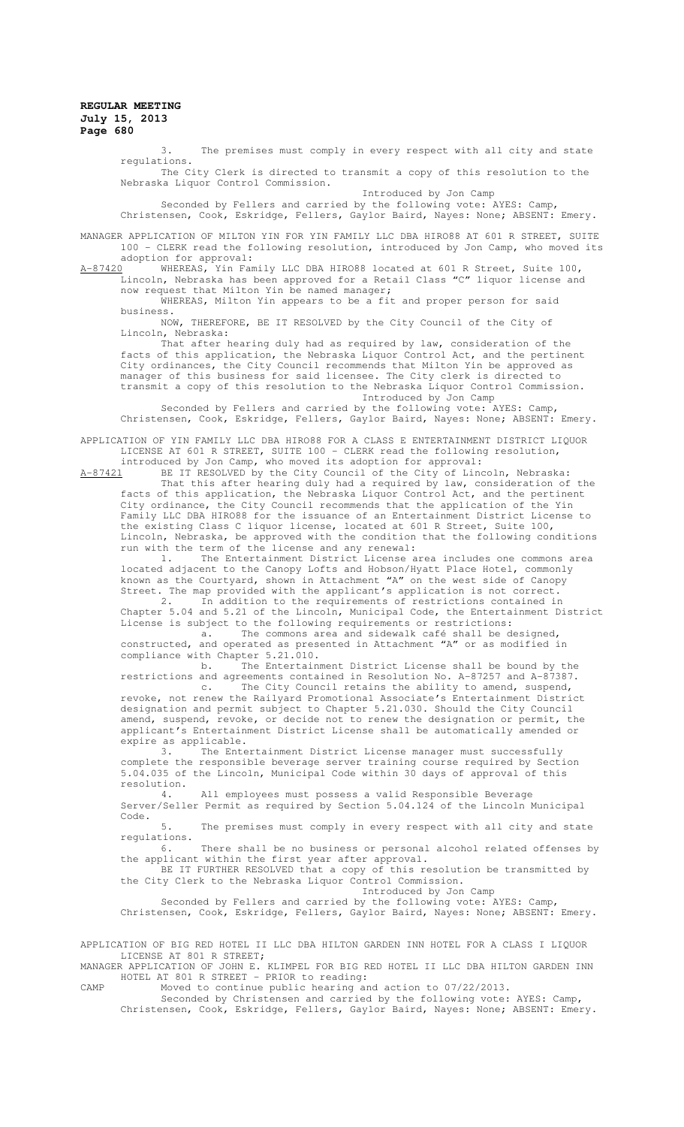3. The premises must comply in every respect with all city and state regulations.

The City Clerk is directed to transmit a copy of this resolution to the Nebraska Liquor Control Commission.

Introduced by Jon Camp Seconded by Fellers and carried by the following vote: AYES: Camp,

Christensen, Cook, Eskridge, Fellers, Gaylor Baird, Nayes: None; ABSENT: Emery.

MANAGER APPLICATION OF MILTON YIN FOR YIN FAMILY LLC DBA HIRO88 AT 601 R STREET, SUITE 100 - CLERK read the following resolution, introduced by Jon Camp, who moved its

adoption for approval:<br>A-87420 WHEREAS, Yin Fan A-87420 WHEREAS, Yin Family LLC DBA HIRO88 located at 601 R Street, Suite 100, Lincoln, Nebraska has been approved for a Retail Class "C" liquor license and now request that Milton Yin be named manager;

WHEREAS, Milton Yin appears to be a fit and proper person for said business.

NOW, THEREFORE, BE IT RESOLVED by the City Council of the City of Lincoln, Nebraska:

That after hearing duly had as required by law, consideration of the facts of this application, the Nebraska Liquor Control Act, and the pertinent City ordinances, the City Council recommends that Milton Yin be approved as manager of this business for said licensee. The City clerk is directed to transmit a copy of this resolution to the Nebraska Liquor Control Commission.

Introduced by Jon Camp

Seconded by Fellers and carried by the following vote: AYES: Camp, Christensen, Cook, Eskridge, Fellers, Gaylor Baird, Nayes: None; ABSENT: Emery.

APPLICATION OF YIN FAMILY LLC DBA HIRO88 FOR A CLASS E ENTERTAINMENT DISTRICT LIQUOR LICENSE AT 601 R STREET, SUITE 100 - CLERK read the following resolution, introduced by Jon Camp, who moved its adoption for approval:

A-87421 BE IT RESOLVED by the City Council of the City of Lincoln, Nebraska:

That this after hearing duly had a required by law, consideration of the facts of this application, the Nebraska Liquor Control Act, and the pertinent City ordinance, the City Council recommends that the application of the Yin Family LLC DBA HIRO88 for the issuance of an Entertainment District License to the existing Class C liquor license, located at 601 R Street, Suite 100, Lincoln, Nebraska, be approved with the condition that the following conditions run with the term of the license and any renewal:

1. The Entertainment District License area includes one commons area located adjacent to the Canopy Lofts and Hobson/Hyatt Place Hotel, commonly known as the Courtyard, shown in Attachment "A" on the west side of Canopy Street. The map provided with the applicant's application is not correct.

2. In addition to the requirements of restrictions contained in Chapter 5.04 and 5.21 of the Lincoln, Municipal Code, the Entertainment District License is subject to the following requirements or restrictions:

a. The commons area and sidewalk café shall be designed, constructed, and operated as presented in Attachment "A" or as modified in compliance with Chapter 5.21.010.

b. The Entertainment District License shall be bound by the restrictions and agreements contained in Resolution No. A-87257 and A-87387. c. The City Council retains the ability to amend, suspend,

revoke, not renew the Railyard Promotional Associate's Entertainment District designation and permit subject to Chapter 5.21.030. Should the City Council amend, suspend, revoke, or decide not to renew the designation or permit, the applicant's Entertainment District License shall be automatically amended or expire as applicable.<br>3. The Ente

The Entertainment District License manager must successfully complete the responsible beverage server training course required by Section 5.04.035 of the Lincoln, Municipal Code within 30 days of approval of this resolution.

4. All employees must possess a valid Responsible Beverage Server/Seller Permit as required by Section 5.04.124 of the Lincoln Municipal Code.

5. The premises must comply in every respect with all city and state regulations.<br>6.

There shall be no business or personal alcohol related offenses by the applicant within the first year after approval.

BE IT FURTHER RESOLVED that a copy of this resolution be transmitted by the City Clerk to the Nebraska Liquor Control Commission.

Introduced by Jon Camp

Seconded by Fellers and carried by the following vote: AYES: Camp, Christensen, Cook, Eskridge, Fellers, Gaylor Baird, Nayes: None; ABSENT: Emery.

APPLICATION OF BIG RED HOTEL II LLC DBA HILTON GARDEN INN HOTEL FOR A CLASS I LIQUOR LICENSE AT 801 R STREET;

MANAGER APPLICATION OF JOHN E. KLIMPEL FOR BIG RED HOTEL II LLC DBA HILTON GARDEN INN HOTEL AT 801 R STREET - PRIOR to reading:

CAMP Moved to continue public hearing and action to 07/22/2013.

Seconded by Christensen and carried by the following vote: AYES: Camp, Christensen, Cook, Eskridge, Fellers, Gaylor Baird, Nayes: None; ABSENT: Emery.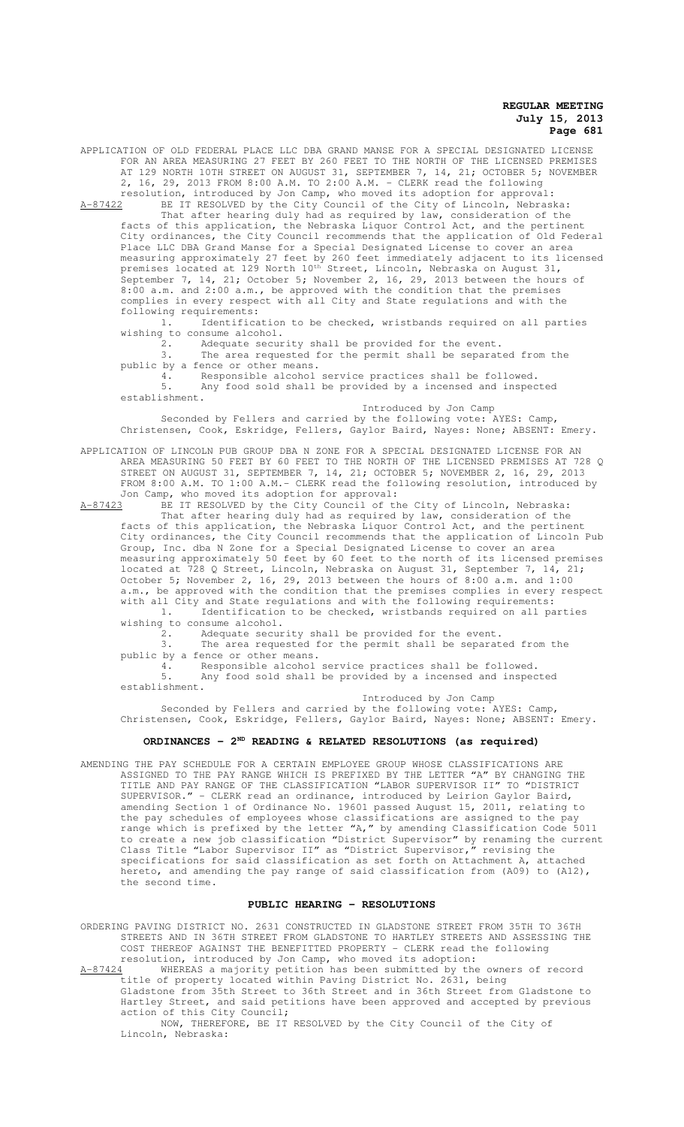APPLICATION OF OLD FEDERAL PLACE LLC DBA GRAND MANSE FOR A SPECIAL DESIGNATED LICENSE FOR AN AREA MEASURING 27 FEET BY 260 FEET TO THE NORTH OF THE LICENSED PREMISES AT 129 NORTH 10TH STREET ON AUGUST 31, SEPTEMBER 7, 14, 21; OCTOBER 5; NOVEMBER 2, 16, 29, 2013 FROM 8:00 A.M. TO 2:00 A.M. - CLERK read the following resolution, introduced by Jon Camp, who moved its adoption for approval:

A-87422 BE IT RESOLVED by the City Council of the City of Lincoln, Nebraska: That after hearing duly had as required by law, consideration of the facts of this application, the Nebraska Liquor Control Act, and the pertinent City ordinances, the City Council recommends that the application of Old Federal Place LLC DBA Grand Manse for a Special Designated License to cover an area measuring approximately 27 feet by 260 feet immediately adjacent to its licensed premises located at 129 North 10<sup>th</sup> Street, Lincoln, Nebraska on August 31, September 7, 14, 21; October 5; November 2, 16, 29, 2013 between the hours of 8:00 a.m. and 2:00 a.m., be approved with the condition that the premises complies in every respect with all City and State regulations and with the following requirements:

1. Identification to be checked, wristbands required on all parties wishing to consume alcohol.<br>2. Adequate secur

Adequate security shall be provided for the event.

3. The area requested for the permit shall be separated from the public by a fence or other means.

4. Responsible alcohol service practices shall be followed.<br>5. Any food sold shall be provided by a incensed and inspec Any food sold shall be provided by a incensed and inspected establishment.

Introduced by Jon Camp Seconded by Fellers and carried by the following vote: AYES: Camp, Christensen, Cook, Eskridge, Fellers, Gaylor Baird, Nayes: None; ABSENT: Emery.

APPLICATION OF LINCOLN PUB GROUP DBA N ZONE FOR A SPECIAL DESIGNATED LICENSE FOR AN AREA MEASURING 50 FEET BY 60 FEET TO THE NORTH OF THE LICENSED PREMISES AT 728 Q STREET ON AUGUST 31, SEPTEMBER 7, 14, 21; OCTOBER 5; NOVEMBER 2, 16, 29, 2013 FROM 8:00 A.M. TO 1:00 A.M.- CLERK read the following resolution, introduced by Jon Camp, who moved its adoption for approval:

A-87423 BE IT RESOLVED by the City Council of the City of Lincoln, Nebraska: That after hearing duly had as required by law, consideration of the facts of this application, the Nebraska Liquor Control Act, and the pertinent City ordinances, the City Council recommends that the application of Lincoln Pub Group, Inc. dba N Zone for a Special Designated License to cover an area measuring approximately 50 feet by 60 feet to the north of its licensed premises located at 728 Q Street, Lincoln, Nebraska on August 31, September 7, 14, 21; October 5; November 2, 16, 29, 2013 between the hours of 8:00 a.m. and 1:00 a.m., be approved with the condition that the premises complies in every respect with all City and State regulations and with the following requirements: 1. Identification to be checked, wristbands required on all parties

wishing to consume alcohol.<br>2. Adequate secur 2. Adequate security shall be provided for the event.

3. The area requested for the permit shall be separated from the

public by a fence or other means.

4. Responsible alcohol service practices shall be followed. Any food sold shall be provided by a incensed and inspected establishment.

Introduced by Jon Camp

Seconded by Fellers and carried by the following vote: AYES: Camp, Christensen, Cook, Eskridge, Fellers, Gaylor Baird, Nayes: None; ABSENT: Emery.

# **ORDINANCES - 2ND READING & RELATED RESOLUTIONS (as required)**

AMENDING THE PAY SCHEDULE FOR A CERTAIN EMPLOYEE GROUP WHOSE CLASSIFICATIONS ARE ASSIGNED TO THE PAY RANGE WHICH IS PREFIXED BY THE LETTER "A" BY CHANGING THE TITLE AND PAY RANGE OF THE CLASSIFICATION "LABOR SUPERVISOR II" TO "DISTRICT SUPERVISOR." - CLERK read an ordinance, introduced by Leirion Gaylor Baird, amending Section 1 of Ordinance No. 19601 passed August 15, 2011, relating to the pay schedules of employees whose classifications are assigned to the pay range which is prefixed by the letter  $n_A$ , by amending Classification Code 5011 to create a new job classification "District Supervisor" by renaming the current Class Title "Labor Supervisor II" as "District Supervisor," revising the specifications for said classification as set forth on Attachment A, attached hereto, and amending the pay range of said classification from (A09) to (A12), the second time.

#### **PUBLIC HEARING - RESOLUTIONS**

ORDERING PAVING DISTRICT NO. 2631 CONSTRUCTED IN GLADSTONE STREET FROM 35TH TO 36TH STREETS AND IN 36TH STREET FROM GLADSTONE TO HARTLEY STREETS AND ASSESSING THE COST THEREOF AGAINST THE BENEFITTED PROPERTY - CLERK read the following resolution, introduced by Jon Camp, who moved its adoption:

Lincoln, Nebraska:

A-87424 WHEREAS a majority petition has been submitted by the owners of record title of property located within Paving District No. 2631, being Gladstone from 35th Street to 36th Street and in 36th Street from Gladstone to

Hartley Street, and said petitions have been approved and accepted by previous action of this City Council; NOW, THEREFORE, BE IT RESOLVED by the City Council of the City of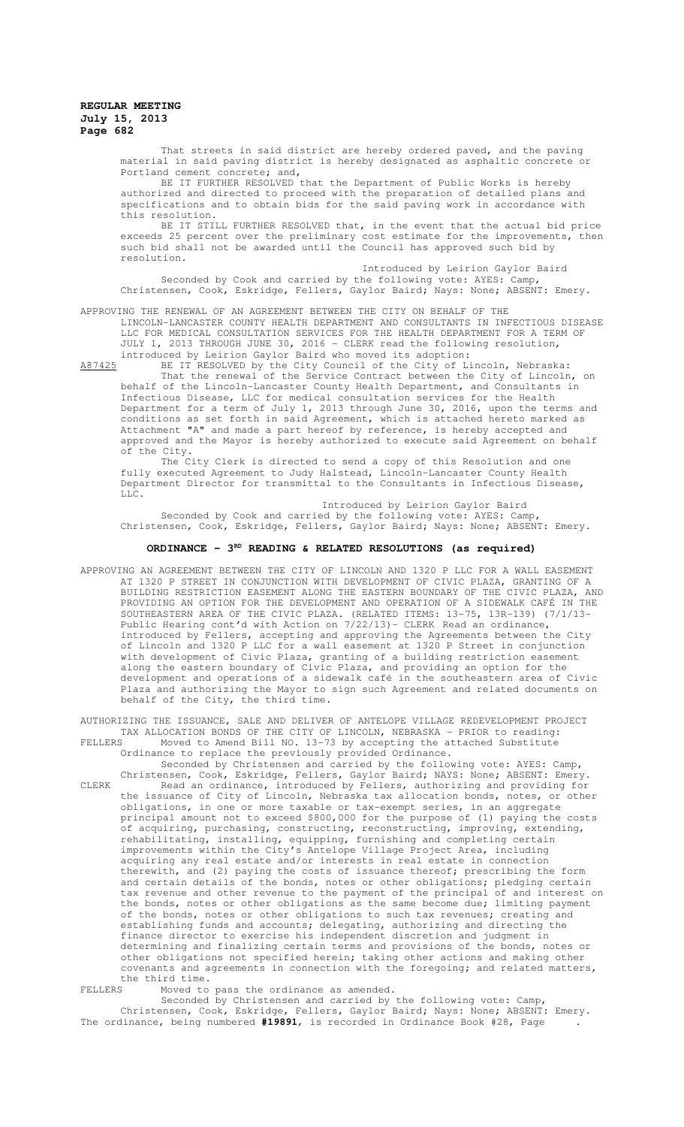That streets in said district are hereby ordered paved, and the paving material in said paving district is hereby designated as asphaltic concrete or Portland cement concrete; and,

BE IT FURTHER RESOLVED that the Department of Public Works is hereby authorized and directed to proceed with the preparation of detailed plans and specifications and to obtain bids for the said paving work in accordance with this resolution.

BE IT STILL FURTHER RESOLVED that, in the event that the actual bid price exceeds 25 percent over the preliminary cost estimate for the improvements, then such bid shall not be awarded until the Council has approved such bid by resolution.

Introduced by Leirion Gaylor Baird Seconded by Cook and carried by the following vote: AYES: Camp, Christensen, Cook, Eskridge, Fellers, Gaylor Baird; Nays: None; ABSENT: Emery.

APPROVING THE RENEWAL OF AN AGREEMENT BETWEEN THE CITY ON BEHALF OF THE LINCOLN-LANCASTER COUNTY HEALTH DEPARTMENT AND CONSULTANTS IN INFECTIOUS DISEASE LLC FOR MEDICAL CONSULTATION SERVICES FOR THE HEALTH DEPARTMENT FOR A TERM OF JULY 1, 2013 THROUGH JUNE 30, 2016 - CLERK read the following resolution, introduced by Leirion Gaylor Baird who moved its adoption:

A87425 BE IT RESOLVED by the City Council of the City of Lincoln, Nebraska: That the renewal of the Service Contract between the City of Lincoln, on behalf of the Lincoln-Lancaster County Health Department, and Consultants in Infectious Disease, LLC for medical consultation services for the Health

Department for a term of July 1, 2013 through June 30, 2016, upon the terms and conditions as set forth in said Agreement, which is attached hereto marked as Attachment "A" and made a part hereof by reference, is hereby accepted and approved and the Mayor is hereby authorized to execute said Agreement on behalf of the City.

The City Clerk is directed to send a copy of this Resolution and one fully executed Agreement to Judy Halstead, Lincoln-Lancaster County Health Department Director for transmittal to the Consultants in Infectious Disease,  $L.L.C.$ 

Introduced by Leirion Gaylor Baird Seconded by Cook and carried by the following vote: AYES: Camp, Christensen, Cook, Eskridge, Fellers, Gaylor Baird; Nays: None; ABSENT: Emery.

## **ORDINANCE - 3<sup>RD</sup> READING & RELATED RESOLUTIONS (as required)**

APPROVING AN AGREEMENT BETWEEN THE CITY OF LINCOLN AND 1320 P LLC FOR A WALL EASEMENT AT 1320 P STREET IN CONJUNCTION WITH DEVELOPMENT OF CIVIC PLAZA, GRANTING OF A BUILDING RESTRICTION EASEMENT ALONG THE EASTERN BOUNDARY OF THE CIVIC PLAZA, AND PROVIDING AN OPTION FOR THE DEVELOPMENT AND OPERATION OF A SIDEWALK CAFÉ IN THE SOUTHEASTERN AREA OF THE CIVIC PLAZA. (RELATED ITEMS: 13-75, 13R-139) (7/1/13- Public Hearing cont'd with Action on 7/22/13)- CLERK Read an ordinance, introduced by Fellers, accepting and approving the Agreements between the City of Lincoln and 1320 P LLC for a wall easement at 1320 P Street in conjunction with development of Civic Plaza, granting of a building restriction easement along the eastern boundary of Civic Plaza, and providing an option for the development and operations of a sidewalk café in the southeastern area of Civic Plaza and authorizing the Mayor to sign such Agreement and related documents on behalf of the City, the third time.

AUTHORIZING THE ISSUANCE, SALE AND DELIVER OF ANTELOPE VILLAGE REDEVELOPMENT PROJECT TAX ALLOCATION BONDS OF THE CITY OF LINCOLN, NEBRASKA - PRIOR to reading: FELLERS Moved to Amend Bill NO. 13-73 by accepting the attached Substitute Ordinance to replace the previously provided Ordinance.

Seconded by Christensen and carried by the following vote: AYES: Camp, Christensen, Cook, Eskridge, Fellers, Gaylor Baird; NAYS: None; ABSENT: Emery. CLERK Read an ordinance, introduced by Fellers, authorizing and providing for the issuance of City of Lincoln, Nebraska tax allocation bonds, notes, or other obligations, in one or more taxable or tax-exempt series, in an aggregate principal amount not to exceed \$800,000 for the purpose of (1) paying the costs of acquiring, purchasing, constructing, reconstructing, improving, extending, rehabilitating, installing, equipping, furnishing and completing certain improvements within the City's Antelope Village Project Area, including acquiring any real estate and/or interests in real estate in connection therewith, and (2) paying the costs of issuance thereof; prescribing the form and certain details of the bonds, notes or other obligations; pledging certain tax revenue and other revenue to the payment of the principal of and interest on the bonds, notes or other obligations as the same become due; limiting payment of the bonds, notes or other obligations to such tax revenues; creating and establishing funds and accounts; delegating, authorizing and directing the finance director to exercise his independent discretion and judgment in determining and finalizing certain terms and provisions of the bonds, notes or other obligations not specified herein; taking other actions and making other covenants and agreements in connection with the foregoing; and related matters, the third time.<br>FELLERS Moved to

Moved to pass the ordinance as amended.

Seconded by Christensen and carried by the following vote: Camp, Christensen, Cook, Eskridge, Fellers, Gaylor Baird; Nays: None; ABSENT: Emery. The ordinance, being numbered **#19891**, is recorded in Ordinance Book #28, Page .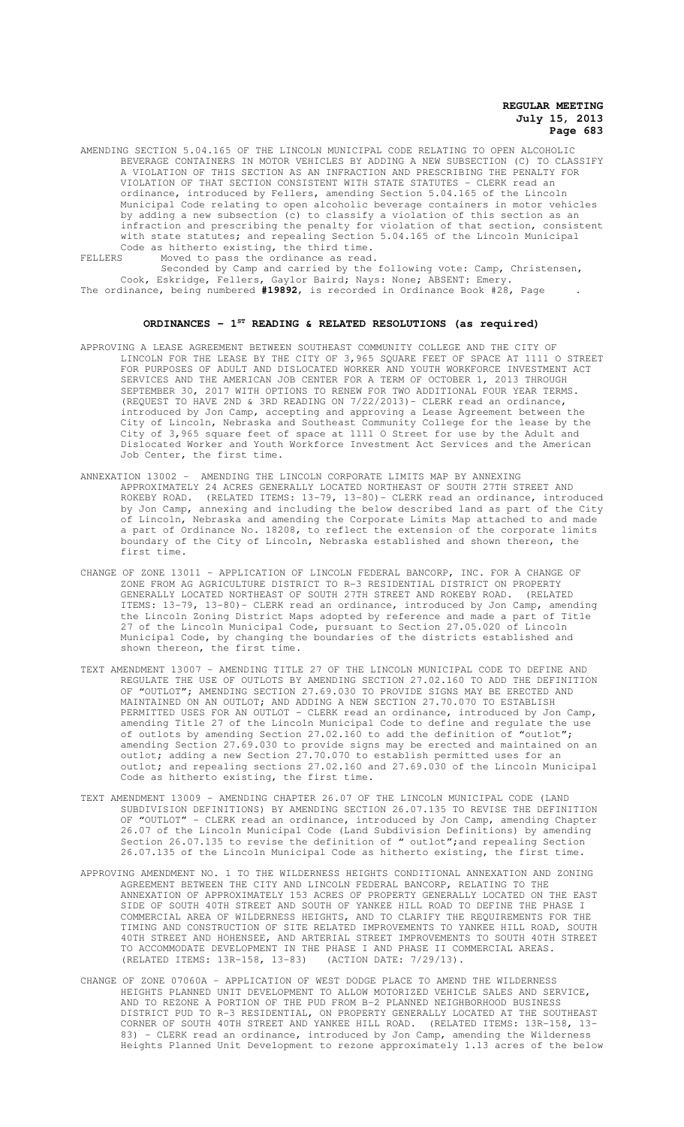AMENDING SECTION 5.04.165 OF THE LINCOLN MUNICIPAL CODE RELATING TO OPEN ALCOHOLIC BEVERAGE CONTAINERS IN MOTOR VEHICLES BY ADDING A NEW SUBSECTION (C) TO CLASSIFY A VIOLATION OF THIS SECTION AS AN INFRACTION AND PRESCRIBING THE PENALTY FOR VIOLATION OF THAT SECTION CONSISTENT WITH STATE STATUTES - CLERK read an ordinance, introduced by Fellers, amending Section 5.04.165 of the Lincoln Municipal Code relating to open alcoholic beverage containers in motor vehicles by adding a new subsection (c) to classify a violation of this section as an infraction and prescribing the penalty for violation of that section, consistent with state statutes; and repealing Section 5.04.165 of the Lincoln Municipal Code as hitherto existing, the third time. FELLERS Moved to pass the ordinance as read.

Seconded by Camp and carried by the following vote: Camp, Christensen, Cook, Eskridge, Fellers, Gaylor Baird; Nays: None; ABSENT: Emery. The ordinance, being numbered **#19892**, is recorded in Ordinance Book #28, Page .

#### **ORDINANCES - 1ST READING & RELATED RESOLUTIONS (as required)**

- APPROVING A LEASE AGREEMENT BETWEEN SOUTHEAST COMMUNITY COLLEGE AND THE CITY OF LINCOLN FOR THE LEASE BY THE CITY OF 3,965 SQUARE FEET OF SPACE AT 1111 O STREET FOR PURPOSES OF ADULT AND DISLOCATED WORKER AND YOUTH WORKFORCE INVESTMENT ACT SERVICES AND THE AMERICAN JOB CENTER FOR A TERM OF OCTOBER 1, 2013 THROUGH 2017 WITH OPTIONS TO RENEW FOR TWO ADDITIONAL FOUR YEAR TERMS. (REQUEST TO HAVE 2ND & 3RD READING ON 7/22/2013)- CLERK read an ordinance, introduced by Jon Camp, accepting and approving a Lease Agreement between the City of Lincoln, Nebraska and Southeast Community College for the lease by the City of 3,965 square feet of space at 1111 O Street for use by the Adult and Dislocated Worker and Youth Workforce Investment Act Services and the American Job Center, the first time.
- ANNEXATION 13002 AMENDING THE LINCOLN CORPORATE LIMITS MAP BY ANNEXING APPROXIMATELY 24 ACRES GENERALLY LOCATED NORTHEAST OF SOUTH 27TH STREET AND ROKEBY ROAD. (RELATED ITEMS: 13-79, 13-80)- CLERK read an ordinance, introduced by Jon Camp, annexing and including the below described land as part of the City of Lincoln, Nebraska and amending the Corporate Limits Map attached to and made a part of Ordinance No. 18208, to reflect the extension of the corporate limits boundary of the City of Lincoln, Nebraska established and shown thereon, the first time.
- CHANGE OF ZONE 13011 APPLICATION OF LINCOLN FEDERAL BANCORP, INC. FOR A CHANGE OF ZONE FROM AG AGRICULTURE DISTRICT TO R-3 RESIDENTIAL DISTRICT ON PROPERTY GENERALLY LOCATED NORTHEAST OF SOUTH 27TH STREET AND ROKEBY ROAD. (RELATED ITEMS: 13-79, 13-80)- CLERK read an ordinance, introduced by Jon Camp, amending the Lincoln Zoning District Maps adopted by reference and made a part of Title 27 of the Lincoln Municipal Code, pursuant to Section 27.05.020 of Lincoln Municipal Code, by changing the boundaries of the districts established and shown thereon, the first time.
- TEXT AMENDMENT 13007 AMENDING TITLE 27 OF THE LINCOLN MUNICIPAL CODE TO DEFINE AND REGULATE THE USE OF OUTLOTS BY AMENDING SECTION 27.02.160 TO ADD THE DEFINITION OF "OUTLOT"; AMENDING SECTION 27.69.030 TO PROVIDE SIGNS MAY BE ERECTED AND MAINTAINED ON AN OUTLOT; AND ADDING A NEW SECTION 27.70.070 TO ESTABLISH PERMITTED USES FOR AN OUTLOT - CLERK read an ordinance, introduced by Jon Camp, amending Title 27 of the Lincoln Municipal Code to define and regulate the use of outlots by amending Section 27.02.160 to add the definition of "outlot"; amending Section 27.69.030 to provide signs may be erected and maintained on an outlot; adding a new Section 27.70.070 to establish permitted uses for an outlot; and repealing sections 27.02.160 and 27.69.030 of the Lincoln Municipal Code as hitherto existing, the first time.
- TEXT AMENDMENT 13009 AMENDING CHAPTER 26.07 OF THE LINCOLN MUNICIPAL CODE (LAND SUBDIVISION DEFINITIONS) BY AMENDING SECTION 26.07.135 TO REVISE THE DEFINITION<br>OF "OUTLOT" - CLERK read an ordinance, introduced by Jon Camp, amending Chapter OF "OUTLOT" - CLERK read an ordinance, introduced by Jon Camp, amending Chapter 26.07 of the Lincoln Municipal Code (Land Subdivision Definitions) by amending Section 26.07.135 to revise the definition of " outlot"; and repealing Section 26.07.135 of the Lincoln Municipal Code as hitherto existing, the first time.
- APPROVING AMENDMENT NO. 1 TO THE WILDERNESS HEIGHTS CONDITIONAL ANNEXATION AND ZONING AGREEMENT BETWEEN THE CITY AND LINCOLN FEDERAL BANCORP, RELATING TO THE ANNEXATION OF APPROXIMATELY 153 ACRES OF PROPERTY GENERALLY LOCATED ON THE EAST SIDE OF SOUTH 40TH STREET AND SOUTH OF YANKEE HILL ROAD TO DEFINE THE PHASE I COMMERCIAL AREA OF WILDERNESS HEIGHTS, AND TO CLARIFY THE REQUIREMENTS FOR THE TIMING AND CONSTRUCTION OF SITE RELATED IMPROVEMENTS TO YANKEE HILL ROAD, SOUTH 40TH STREET AND HOHENSEE, AND ARTERIAL STREET IMPROVEMENTS TO SOUTH 40TH STREET TO ACCOMMODATE DEVELOPMENT IN THE PHASE I AND PHASE II COMMERCIAL AREAS. (RELATED ITEMS: 13R-158, 13-83) (ACTION DATE: 7/29/13).
- CHANGE OF ZONE 07060A APPLICATION OF WEST DODGE PLACE TO AMEND THE WILDERNESS HEIGHTS PLANNED UNIT DEVELOPMENT TO ALLOW MOTORIZED VEHICLE SALES AND SERVICE, AND TO REZONE A PORTION OF THE PUD FROM B-2 PLANNED NEIGHBORHOOD BUSINESS DISTRICT PUD TO R-3 RESIDENTIAL, ON PROPERTY GENERALLY LOCATED AT THE SOUTHEAST CORNER OF SOUTH 40TH STREET AND YANKEE HILL ROAD. (RELATED ITEMS: 13R-158, 13- 83) - CLERK read an ordinance, introduced by Jon Camp, amending the Wilderness Heights Planned Unit Development to rezone approximately 1.13 acres of the below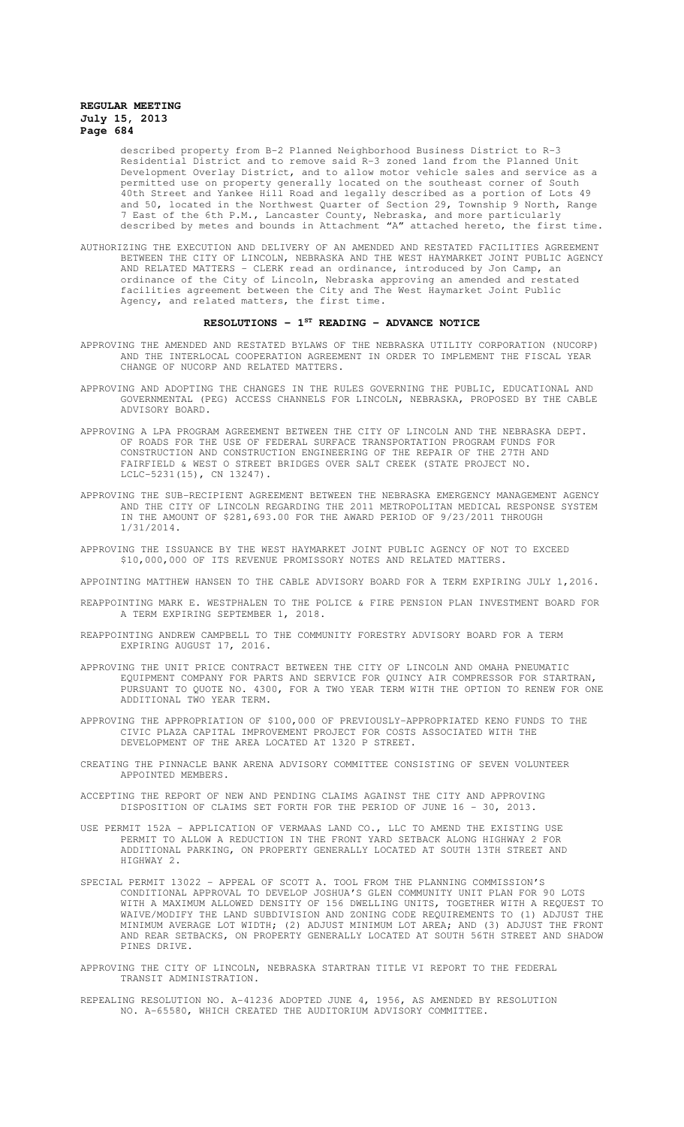described property from B-2 Planned Neighborhood Business District to R-3 Residential District and to remove said R-3 zoned land from the Planned Unit Development Overlay District, and to allow motor vehicle sales and service as a permitted use on property generally located on the southeast corner of South 40th Street and Yankee Hill Road and legally described as a portion of Lots 49 and 50, located in the Northwest Quarter of Section 29, Township 9 North, Range 7 East of the 6th P.M., Lancaster County, Nebraska, and more particularly described by metes and bounds in Attachment "A" attached hereto, the first time.

AUTHORIZING THE EXECUTION AND DELIVERY OF AN AMENDED AND RESTATED FACILITIES AGREEMENT BETWEEN THE CITY OF LINCOLN, NEBRASKA AND THE WEST HAYMARKET JOINT PUBLIC AGENCY AND RELATED MATTERS - CLERK read an ordinance, introduced by Jon Camp, an ordinance of the City of Lincoln, Nebraska approving an amended and restated facilities agreement between the City and The West Haymarket Joint Public Agency, and related matters, the first time.

#### **RESOLUTIONS - 1ST READING - ADVANCE NOTICE**

- APPROVING THE AMENDED AND RESTATED BYLAWS OF THE NEBRASKA UTILITY CORPORATION (NUCORP) AND THE INTERLOCAL COOPERATION AGREEMENT IN ORDER TO IMPLEMENT THE FISCAL YEAR CHANGE OF NUCORP AND RELATED MATTERS.
- APPROVING AND ADOPTING THE CHANGES IN THE RULES GOVERNING THE PUBLIC, EDUCATIONAL AND GOVERNMENTAL (PEG) ACCESS CHANNELS FOR LINCOLN, NEBRASKA, PROPOSED BY THE CABLE ADVISORY BOARD.
- APPROVING A LPA PROGRAM AGREEMENT BETWEEN THE CITY OF LINCOLN AND THE NEBRASKA DEPT. OF ROADS FOR THE USE OF FEDERAL SURFACE TRANSPORTATION PROGRAM FUNDS FOR CONSTRUCTION AND CONSTRUCTION ENGINEERING OF THE REPAIR OF THE 27TH AND FAIRFIELD & WEST O STREET BRIDGES OVER SALT CREEK (STATE PROJECT NO. LCLC-5231(15), CN 13247).
- APPROVING THE SUB-RECIPIENT AGREEMENT BETWEEN THE NEBRASKA EMERGENCY MANAGEMENT AGENCY AND THE CITY OF LINCOLN REGARDING THE 2011 METROPOLITAN MEDICAL RESPONSE SYSTEM IN THE AMOUNT OF \$281,693.00 FOR THE AWARD PERIOD OF 9/23/2011 THROUGH 1/31/2014.
- APPROVING THE ISSUANCE BY THE WEST HAYMARKET JOINT PUBLIC AGENCY OF NOT TO EXCEED \$10,000,000 OF ITS REVENUE PROMISSORY NOTES AND RELATED MATTERS.

APPOINTING MATTHEW HANSEN TO THE CABLE ADVISORY BOARD FOR A TERM EXPIRING JULY 1,2016.

- REAPPOINTING MARK E. WESTPHALEN TO THE POLICE & FIRE PENSION PLAN INVESTMENT BOARD FOR A TERM EXPIRING SEPTEMBER 1, 2018.
- REAPPOINTING ANDREW CAMPBELL TO THE COMMUNITY FORESTRY ADVISORY BOARD FOR A TERM EXPIRING AUGUST 17, 2016.
- APPROVING THE UNIT PRICE CONTRACT BETWEEN THE CITY OF LINCOLN AND OMAHA PNEUMATIC EQUIPMENT COMPANY FOR PARTS AND SERVICE FOR QUINCY AIR COMPRESSOR FOR STARTRAN, PURSUANT TO QUOTE NO. 4300, FOR A TWO YEAR TERM WITH THE OPTION TO RENEW FOR ONE ADDITIONAL TWO YEAR TERM.
- APPROVING THE APPROPRIATION OF \$100,000 OF PREVIOUSLY-APPROPRIATED KENO FUNDS TO THE CIVIC PLAZA CAPITAL IMPROVEMENT PROJECT FOR COSTS ASSOCIATED WITH THE DEVELOPMENT OF THE AREA LOCATED AT 1320 P STREET.
- CREATING THE PINNACLE BANK ARENA ADVISORY COMMITTEE CONSISTING OF SEVEN VOLUNTEER APPOINTED MEMBERS.
- ACCEPTING THE REPORT OF NEW AND PENDING CLAIMS AGAINST THE CITY AND APPROVING DISPOSITION OF CLAIMS SET FORTH FOR THE PERIOD OF JUNE 16 - 30, 2013.
- USE PERMIT 152A APPLICATION OF VERMAAS LAND CO., LLC TO AMEND THE EXISTING USE PERMIT TO ALLOW A REDUCTION IN THE FRONT YARD SETBACK ALONG HIGHWAY 2 FOR ADDITIONAL PARKING, ON PROPERTY GENERALLY LOCATED AT SOUTH 13TH STREET AND HIGHWAY 2.
- SPECIAL PERMIT 13022 APPEAL OF SCOTT A. TOOL FROM THE PLANNING COMMISSION'S CONDITIONAL APPROVAL TO DEVELOP JOSHUA'S GLEN COMMUNITY UNIT PLAN FOR 90 LOTS WITH A MAXIMUM ALLOWED DENSITY OF 156 DWELLING UNITS, TOGETHER WITH A REQUEST TO WAIVE/MODIFY THE LAND SUBDIVISION AND ZONING CODE REQUIREMENTS TO (1) ADJUST THE MINIMUM AVERAGE LOT WIDTH; (2) ADJUST MINIMUM LOT AREA; AND (3) ADJUST THE FRONT AND REAR SETBACKS, ON PROPERTY GENERALLY LOCATED AT SOUTH 56TH STREET AND SHADOW PINES DRIVE.
- APPROVING THE CITY OF LINCOLN, NEBRASKA STARTRAN TITLE VI REPORT TO THE FEDERAL TRANSIT ADMINISTRATION.
- REPEALING RESOLUTION NO. A-41236 ADOPTED JUNE 4, 1956, AS AMENDED BY RESOLUTION NO. A-65580, WHICH CREATED THE AUDITORIUM ADVISORY COMMITTEE.